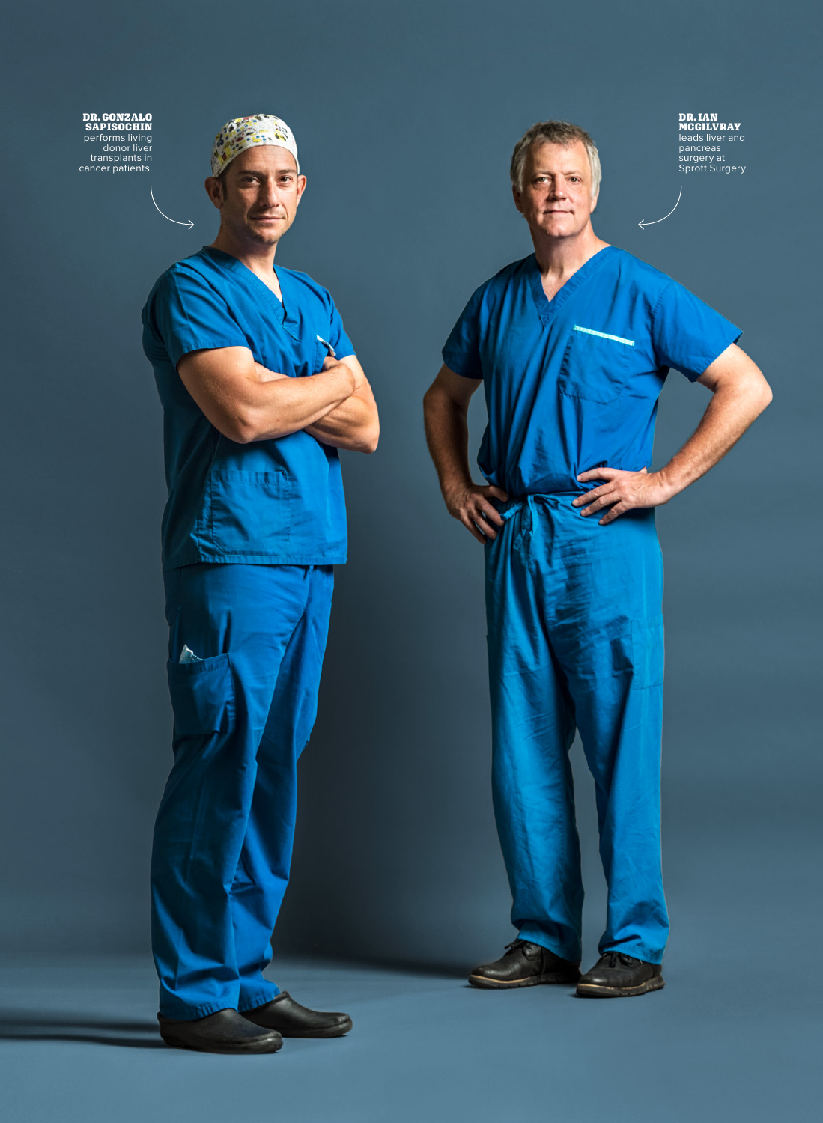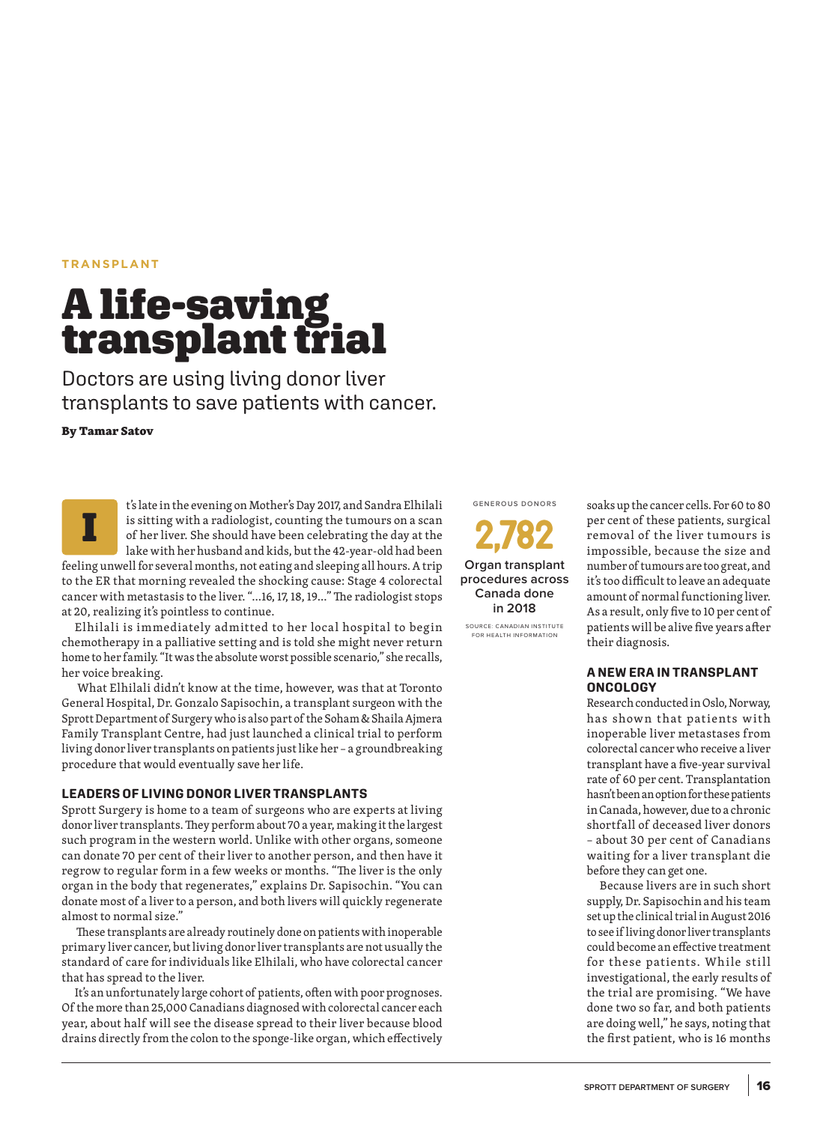## **TRANSPLANT**

# **A life-saving<br>transplant trial**

Doctors are using living donor liver transplants to save patients with cancer.

**By Tamar Satov**

t's late in the evening on Mother's Day 2017, and Sandra Elhilali is sitting with a radiologist, counting the tumours on a scan of her liver. She should have been celebrating the day at the lake with her husband and kids, but the 42-year-old had been feeling unwell for several months, not eating and sleeping all hours. A trip to the ER that morning revealed the shocking cause: Stage 4 colorectal cancer with metastasis to the liver. "...16, 17, 18, 19..." The radiologist stops at 20, realizing it's pointless to continue. I

Elhilali is immediately admitted to her local hospital to begin chemotherapy in a palliative setting and is told she might never return home to her family. "It was the absolute worst possible scenario," she recalls, her voice breaking.

 What Elhilali didn't know at the time, however, was that at Toronto General Hospital, Dr. Gonzalo Sapisochin, a transplant surgeon with the Sprott Department of Surgery who is also part of the Soham & Shaila Ajmera Family Transplant Centre, had just launched a clinical trial to perform living donor liver transplants on patients just like her – a groundbreaking procedure that would eventually save her life.

#### **LEADERS OF LIVING DONOR LIVER TRANSPLANTS**

Sprott Surgery is home to a team of surgeons who are experts at living donor liver transplants. They perform about 70 a year, making it the largest such program in the western world. Unlike with other organs, someone can donate 70 per cent of their liver to another person, and then have it regrow to regular form in a few weeks or months. "The liver is the only organ in the body that regenerates," explains Dr. Sapisochin. "You can donate most of a liver to a person, and both livers will quickly regenerate almost to normal size."

 These transplants are already routinely done on patients with inoperable primary liver cancer, but living donor liver transplants are not usually the standard of care for individuals like Elhilali, who have colorectal cancer that has spread to the liver.

It's an unfortunately large cohort of patients, often with poor prognoses. Of the more than 25,000 Canadians diagnosed with colorectal cancer each year, about half will see the disease spread to their liver because blood drains directly from the colon to the sponge-like organ, which effectively **GENEROUS DONORS**



SOURCE: CANADIAN INSTITUTE FOR HEALTH INFORMATION

soaks up the cancer cells. For 60 to 80 per cent of these patients, surgical removal of the liver tumours is impossible, because the size and number of tumours are too great, and it's too difficult to leave an adequate amount of normal functioning liver. As a result, only five to 10 per cent of patients will be alive five years after their diagnosis.

## **A NEW ERA IN TRANSPLANT ONCOLOGY**

Research conducted in Oslo, Norway, has shown that patients with inoperable liver metastases from colorectal cancer who receive a liver transplant have a five-year survival rate of 60 per cent. Transplantation hasn't been an option for these patients in Canada, however, due to a chronic shortfall of deceased liver donors – about 30 per cent of Canadians waiting for a liver transplant die before they can get one.

Because livers are in such short supply, Dr. Sapisochin and his team set up the clinical trial in August 2016 to see if living donor liver transplants could become an effective treatment for these patients. While still investigational, the early results of the trial are promising. "We have done two so far, and both patients are doing well," he says, noting that the first patient, who is 16 months